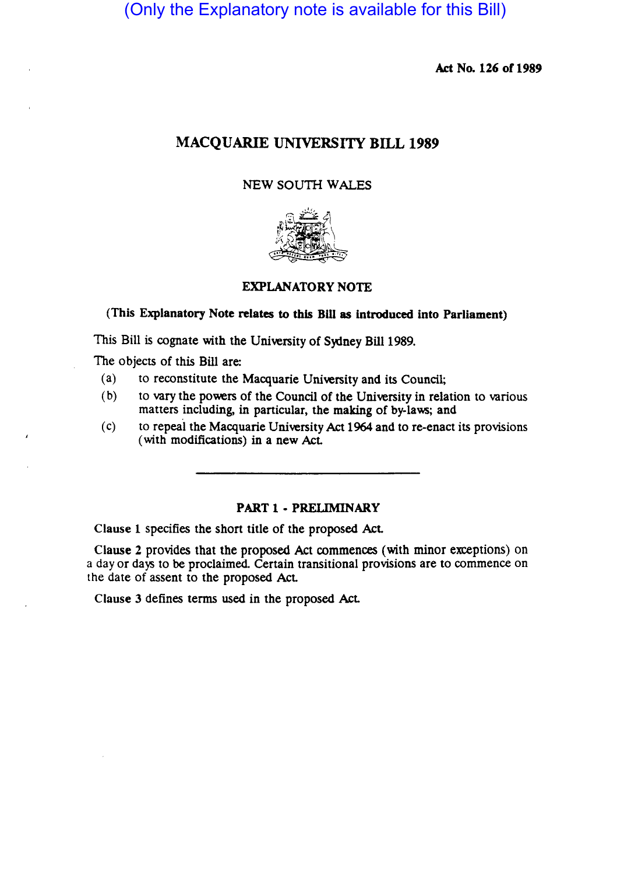(Only the Explanatory note is available for this Bill)

Act No. 126 of 1989

## MACQUARIE UNIVERSITY BILL 1989

## NEW SOUTH WALES



## EXPLANATORY NOTE

# (This Explanatory Note relates to this Bill as introduced into Parliament)

This Bill is cognate with the University of Sydney Bill 1989.

The objects of this Bill are:

- (a) to reconstitute the Macquarie University and its Council;
- (b) to vary the powers of the Council of the University in relation to various matters including, in particular. the making of by-laws; and
- (c) to repeal the Macquarie University Act 1964 and to re-enact its provisions (with modifications) in a new Act

#### PART 1 - PRELIMINARY

Clause 1 specifies the short title of the proposed Act.

Clause 2 provides that the proposed Act commences (with minor exceptions) on a day or days to be proclaimed. Certain transitional provisions are to commence on the date of assent to the proposed Act

Clause 3 defines terms used in the proposed Act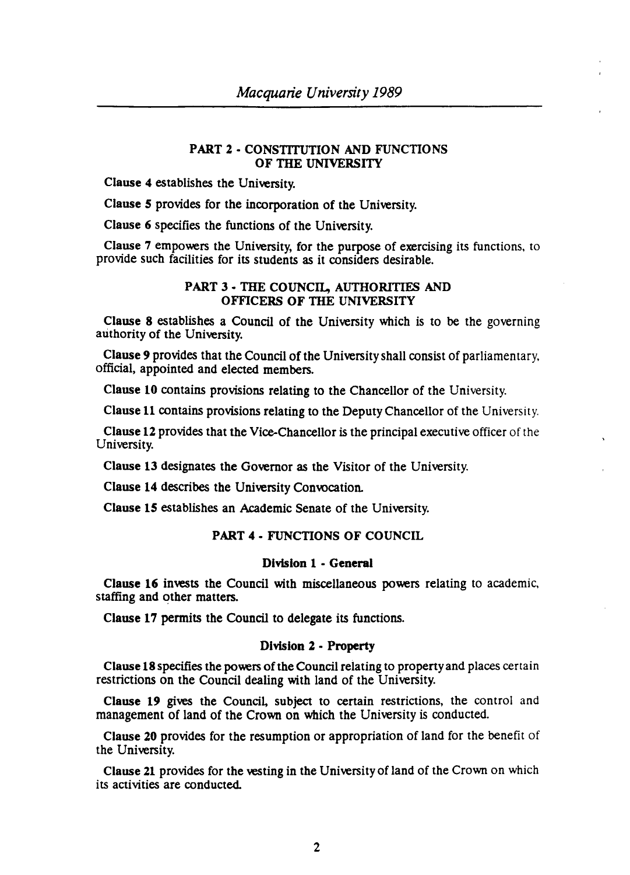## PART 2 • CONSTITUTION AND FUNCTIONS OF THE UNIVERSITY

Clause 4 establishes the University.

Clause 5 provides for the incorporation of the University.

Clause 6 specifies the functions of the University.

Clause 7 empowers the University, for the purpose of exercising its functions. to provide such facilities for its students as it considers desirable.

### PART 3· THE COUNCIL, AUTHORITIES AND OFFICERS OF THE UNIVERSITY

Clause 8 establishes a Council of the University which is to be the governing authority of the University.

Clause 9 provides that the Council of the University shall consist of parliamentary. official, appointed and elected members.

Clause 10 contains provisions relating to the Chancellor of the University.

Clause 11 contains provisions relating to the Deputy Chancellor of the University.

Clause 12 provides that the Vice-Chancellor is the principal executive officer of the University.

Clause 13 designates the Governor as the Visitor of the University.

Clause 14 describes the University Convocation.

Clause 15 establishes an Academic Senate of the University.

## PART 4 • FUNCTIONS OF COUNCIL

#### Division 1 - General

Clause 16 invests the Council with miscellaneous powers relating to academic, staffing and other matters.

Clause 17 permits the Council to delegate its functions.

#### Division 2 - Property

Clause 18 specifies the powers of the Council reiating to propenyand places certain restrictions on the Council dealing with land of the University.

Clause 19 gives the Council, subject to certain restrictions, the control and management of land of the Crown on which the University is conducted.

Clause 20 provides for the resumption or appropriation of land for the benefit of the University.

Clause 21 provides for the vesting in the University of land of the Crown on which its activities are conducted.